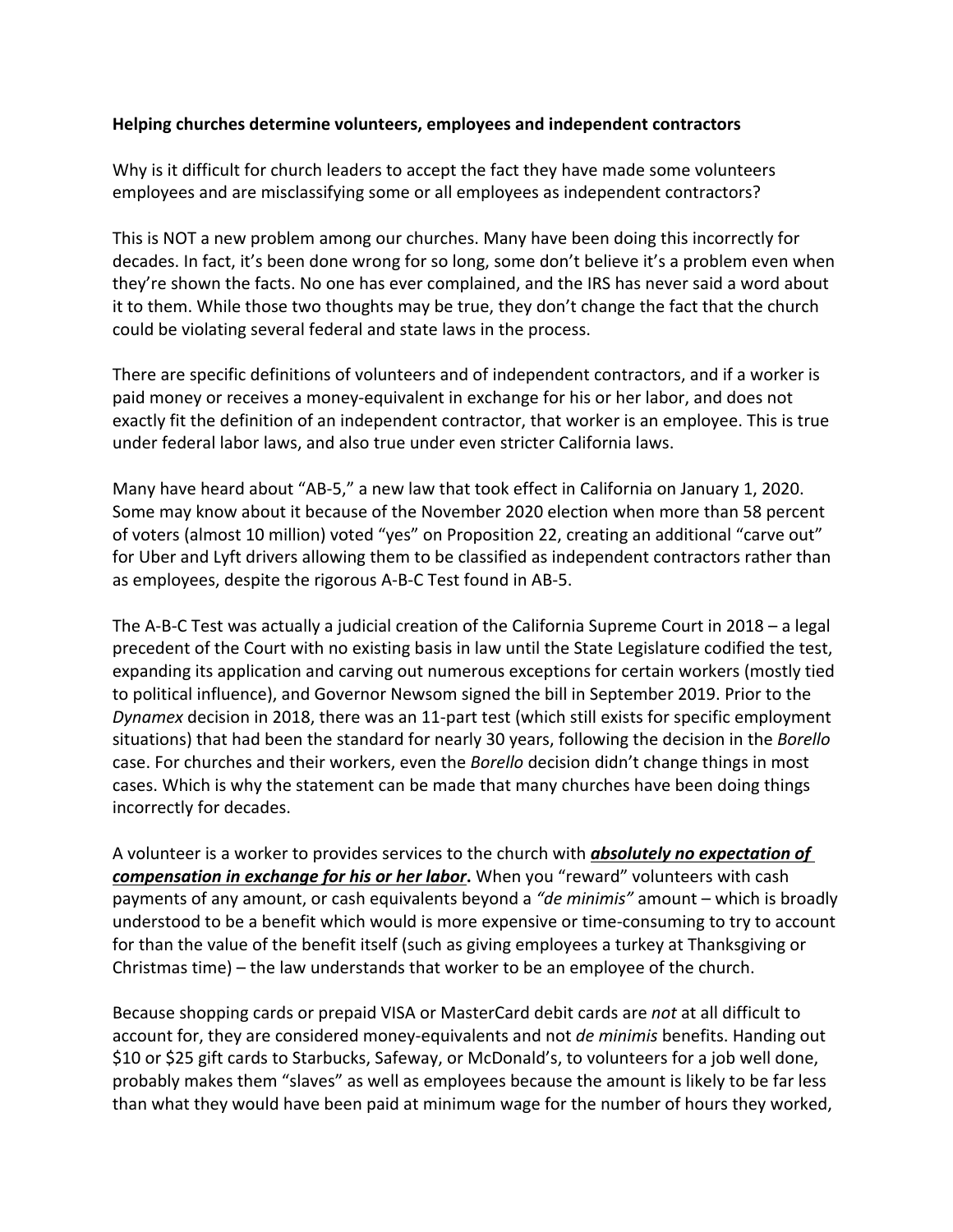## **Helping churches determine volunteers, employees and independent contractors**

Why is it difficult for church leaders to accept the fact they have made some volunteers employees and are misclassifying some or all employees as independent contractors?

This is NOT a new problem among our churches. Many have been doing this incorrectly for decades. In fact, it's been done wrong for so long, some don't believe it's a problem even when they're shown the facts. No one has ever complained, and the IRS has never said a word about it to them. While those two thoughts may be true, they don't change the fact that the church could be violating several federal and state laws in the process.

There are specific definitions of volunteers and of independent contractors, and if a worker is paid money or receives a money-equivalent in exchange for his or her labor, and does not exactly fit the definition of an independent contractor, that worker is an employee. This is true under federal labor laws, and also true under even stricter California laws.

Many have heard about "AB-5," a new law that took effect in California on January 1, 2020. Some may know about it because of the November 2020 election when more than 58 percent of voters (almost 10 million) voted "yes" on Proposition 22, creating an additional "carve out" for Uber and Lyft drivers allowing them to be classified as independent contractors rather than as employees, despite the rigorous A-B-C Test found in AB-5.

The A-B-C Test was actually a judicial creation of the California Supreme Court in 2018 – a legal precedent of the Court with no existing basis in law until the State Legislature codified the test, expanding its application and carving out numerous exceptions for certain workers (mostly tied to political influence), and Governor Newsom signed the bill in September 2019. Prior to the *Dynamex* decision in 2018, there was an 11-part test (which still exists for specific employment situations) that had been the standard for nearly 30 years, following the decision in the *Borello* case. For churches and their workers, even the *Borello* decision didn't change things in most cases. Which is why the statement can be made that many churches have been doing things incorrectly for decades.

A volunteer is a worker to provides services to the church with *absolutely no expectation of compensation in exchange for his or her labor***.** When you "reward" volunteers with cash payments of any amount, or cash equivalents beyond a *"de minimis"* amount – which is broadly understood to be a benefit which would is more expensive or time-consuming to try to account for than the value of the benefit itself (such as giving employees a turkey at Thanksgiving or Christmas time) – the law understands that worker to be an employee of the church.

Because shopping cards or prepaid VISA or MasterCard debit cards are *not* at all difficult to account for, they are considered money-equivalents and not *de minimis* benefits. Handing out \$10 or \$25 gift cards to Starbucks, Safeway, or McDonald's, to volunteers for a job well done, probably makes them "slaves" as well as employees because the amount is likely to be far less than what they would have been paid at minimum wage for the number of hours they worked,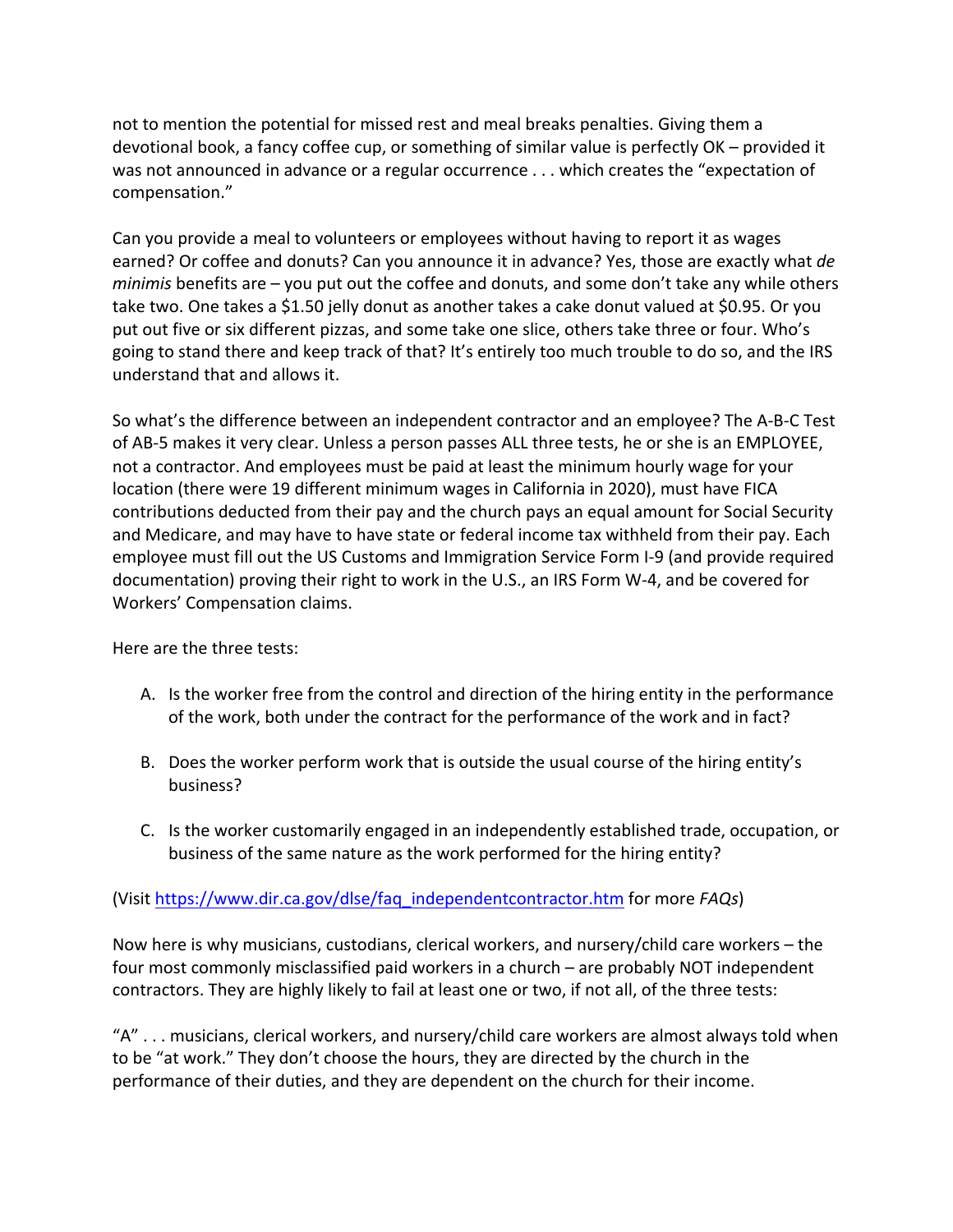not to mention the potential for missed rest and meal breaks penalties. Giving them a devotional book, a fancy coffee cup, or something of similar value is perfectly OK – provided it was not announced in advance or a regular occurrence . . . which creates the "expectation of compensation."

Can you provide a meal to volunteers or employees without having to report it as wages earned? Or coffee and donuts? Can you announce it in advance? Yes, those are exactly what *de minimis* benefits are – you put out the coffee and donuts, and some don't take any while others take two. One takes a \$1.50 jelly donut as another takes a cake donut valued at \$0.95. Or you put out five or six different pizzas, and some take one slice, others take three or four. Who's going to stand there and keep track of that? It's entirely too much trouble to do so, and the IRS understand that and allows it.

So what's the difference between an independent contractor and an employee? The A-B-C Test of AB-5 makes it very clear. Unless a person passes ALL three tests, he or she is an EMPLOYEE, not a contractor. And employees must be paid at least the minimum hourly wage for your location (there were 19 different minimum wages in California in 2020), must have FICA contributions deducted from their pay and the church pays an equal amount for Social Security and Medicare, and may have to have state or federal income tax withheld from their pay. Each employee must fill out the US Customs and Immigration Service Form I-9 (and provide required documentation) proving their right to work in the U.S., an IRS Form W-4, and be covered for Workers' Compensation claims.

Here are the three tests:

- A. Is the worker free from the control and direction of the hiring entity in the performance of the work, both under the contract for the performance of the work and in fact?
- B. Does the worker perform work that is outside the usual course of the hiring entity's business?
- C. Is the worker customarily engaged in an independently established trade, occupation, or business of the same nature as the work performed for the hiring entity?

## (Visit https://www.dir.ca.gov/dlse/faq\_independentcontractor.htm for more *FAQs*)

Now here is why musicians, custodians, clerical workers, and nursery/child care workers – the four most commonly misclassified paid workers in a church – are probably NOT independent contractors. They are highly likely to fail at least one or two, if not all, of the three tests:

"A" . . . musicians, clerical workers, and nursery/child care workers are almost always told when to be "at work." They don't choose the hours, they are directed by the church in the performance of their duties, and they are dependent on the church for their income.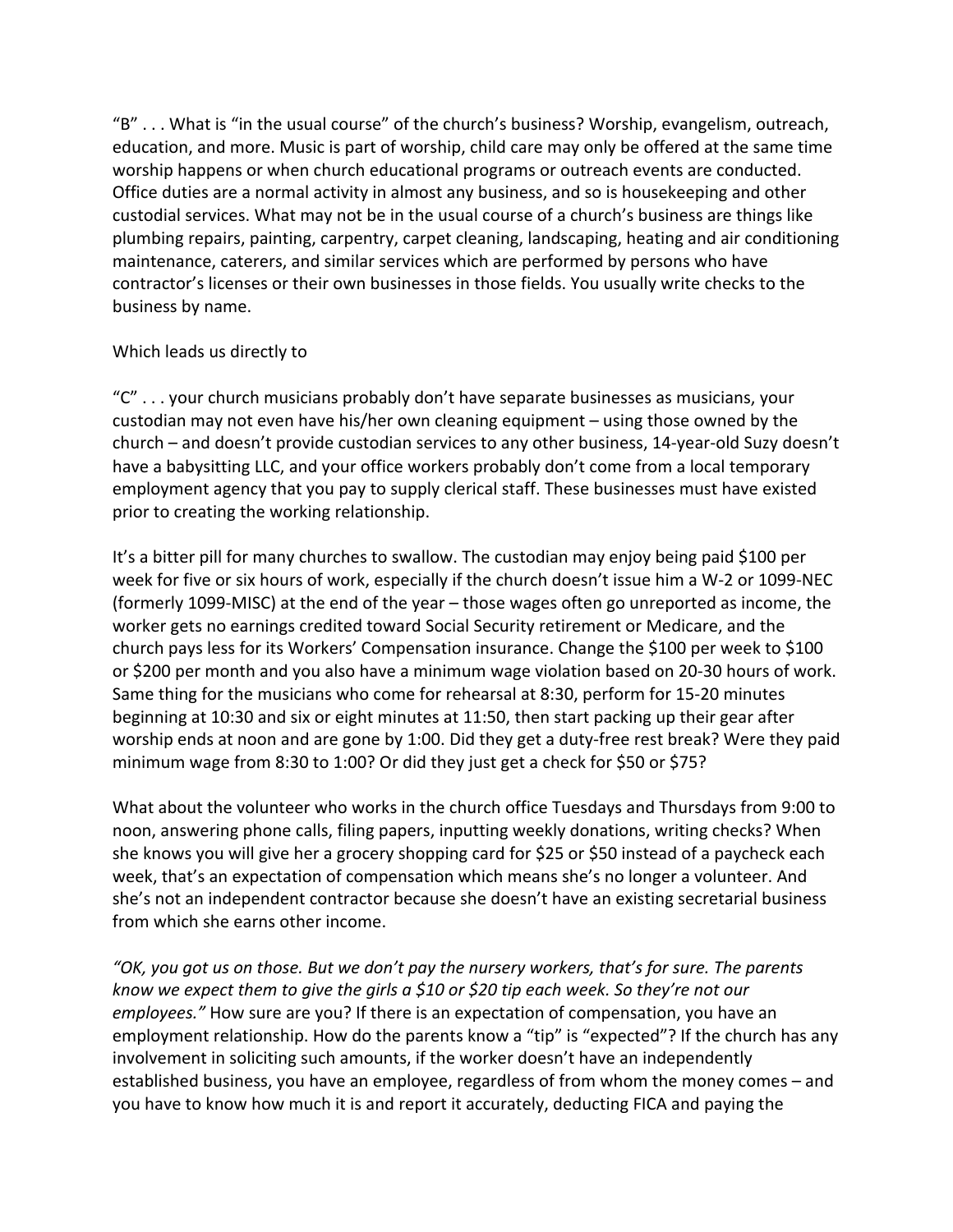"B" . . . What is "in the usual course" of the church's business? Worship, evangelism, outreach, education, and more. Music is part of worship, child care may only be offered at the same time worship happens or when church educational programs or outreach events are conducted. Office duties are a normal activity in almost any business, and so is housekeeping and other custodial services. What may not be in the usual course of a church's business are things like plumbing repairs, painting, carpentry, carpet cleaning, landscaping, heating and air conditioning maintenance, caterers, and similar services which are performed by persons who have contractor's licenses or their own businesses in those fields. You usually write checks to the business by name.

## Which leads us directly to

"C" . . . your church musicians probably don't have separate businesses as musicians, your custodian may not even have his/her own cleaning equipment – using those owned by the church – and doesn't provide custodian services to any other business, 14-year-old Suzy doesn't have a babysitting LLC, and your office workers probably don't come from a local temporary employment agency that you pay to supply clerical staff. These businesses must have existed prior to creating the working relationship.

It's a bitter pill for many churches to swallow. The custodian may enjoy being paid \$100 per week for five or six hours of work, especially if the church doesn't issue him a W-2 or 1099-NEC (formerly 1099-MISC) at the end of the year – those wages often go unreported as income, the worker gets no earnings credited toward Social Security retirement or Medicare, and the church pays less for its Workers' Compensation insurance. Change the \$100 per week to \$100 or \$200 per month and you also have a minimum wage violation based on 20-30 hours of work. Same thing for the musicians who come for rehearsal at 8:30, perform for 15-20 minutes beginning at 10:30 and six or eight minutes at 11:50, then start packing up their gear after worship ends at noon and are gone by 1:00. Did they get a duty-free rest break? Were they paid minimum wage from 8:30 to 1:00? Or did they just get a check for \$50 or \$75?

What about the volunteer who works in the church office Tuesdays and Thursdays from 9:00 to noon, answering phone calls, filing papers, inputting weekly donations, writing checks? When she knows you will give her a grocery shopping card for \$25 or \$50 instead of a paycheck each week, that's an expectation of compensation which means she's no longer a volunteer. And she's not an independent contractor because she doesn't have an existing secretarial business from which she earns other income.

*"OK, you got us on those. But we don't pay the nursery workers, that's for sure. The parents know we expect them to give the girls a \$10 or \$20 tip each week. So they're not our employees."* How sure are you? If there is an expectation of compensation, you have an employment relationship. How do the parents know a "tip" is "expected"? If the church has any involvement in soliciting such amounts, if the worker doesn't have an independently established business, you have an employee, regardless of from whom the money comes – and you have to know how much it is and report it accurately, deducting FICA and paying the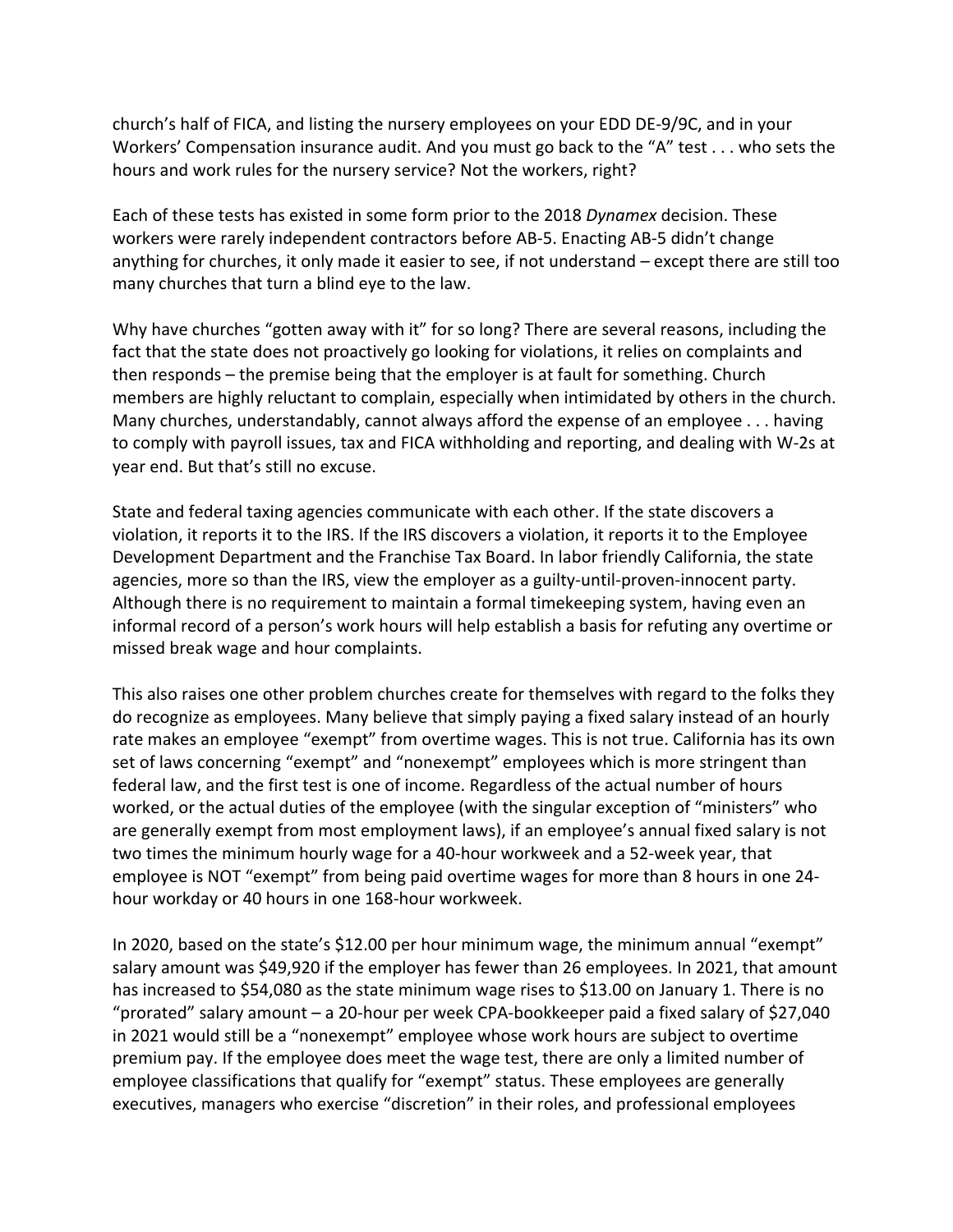church's half of FICA, and listing the nursery employees on your EDD DE-9/9C, and in your Workers' Compensation insurance audit. And you must go back to the "A" test . . . who sets the hours and work rules for the nursery service? Not the workers, right?

Each of these tests has existed in some form prior to the 2018 *Dynamex* decision. These workers were rarely independent contractors before AB-5. Enacting AB-5 didn't change anything for churches, it only made it easier to see, if not understand – except there are still too many churches that turn a blind eye to the law.

Why have churches "gotten away with it" for so long? There are several reasons, including the fact that the state does not proactively go looking for violations, it relies on complaints and then responds – the premise being that the employer is at fault for something. Church members are highly reluctant to complain, especially when intimidated by others in the church. Many churches, understandably, cannot always afford the expense of an employee . . . having to comply with payroll issues, tax and FICA withholding and reporting, and dealing with W-2s at year end. But that's still no excuse.

State and federal taxing agencies communicate with each other. If the state discovers a violation, it reports it to the IRS. If the IRS discovers a violation, it reports it to the Employee Development Department and the Franchise Tax Board. In labor friendly California, the state agencies, more so than the IRS, view the employer as a guilty-until-proven-innocent party. Although there is no requirement to maintain a formal timekeeping system, having even an informal record of a person's work hours will help establish a basis for refuting any overtime or missed break wage and hour complaints.

This also raises one other problem churches create for themselves with regard to the folks they do recognize as employees. Many believe that simply paying a fixed salary instead of an hourly rate makes an employee "exempt" from overtime wages. This is not true. California has its own set of laws concerning "exempt" and "nonexempt" employees which is more stringent than federal law, and the first test is one of income. Regardless of the actual number of hours worked, or the actual duties of the employee (with the singular exception of "ministers" who are generally exempt from most employment laws), if an employee's annual fixed salary is not two times the minimum hourly wage for a 40-hour workweek and a 52-week year, that employee is NOT "exempt" from being paid overtime wages for more than 8 hours in one 24 hour workday or 40 hours in one 168-hour workweek.

In 2020, based on the state's \$12.00 per hour minimum wage, the minimum annual "exempt" salary amount was \$49,920 if the employer has fewer than 26 employees. In 2021, that amount has increased to \$54,080 as the state minimum wage rises to \$13.00 on January 1. There is no "prorated" salary amount – a 20-hour per week CPA-bookkeeper paid a fixed salary of \$27,040 in 2021 would still be a "nonexempt" employee whose work hours are subject to overtime premium pay. If the employee does meet the wage test, there are only a limited number of employee classifications that qualify for "exempt" status. These employees are generally executives, managers who exercise "discretion" in their roles, and professional employees